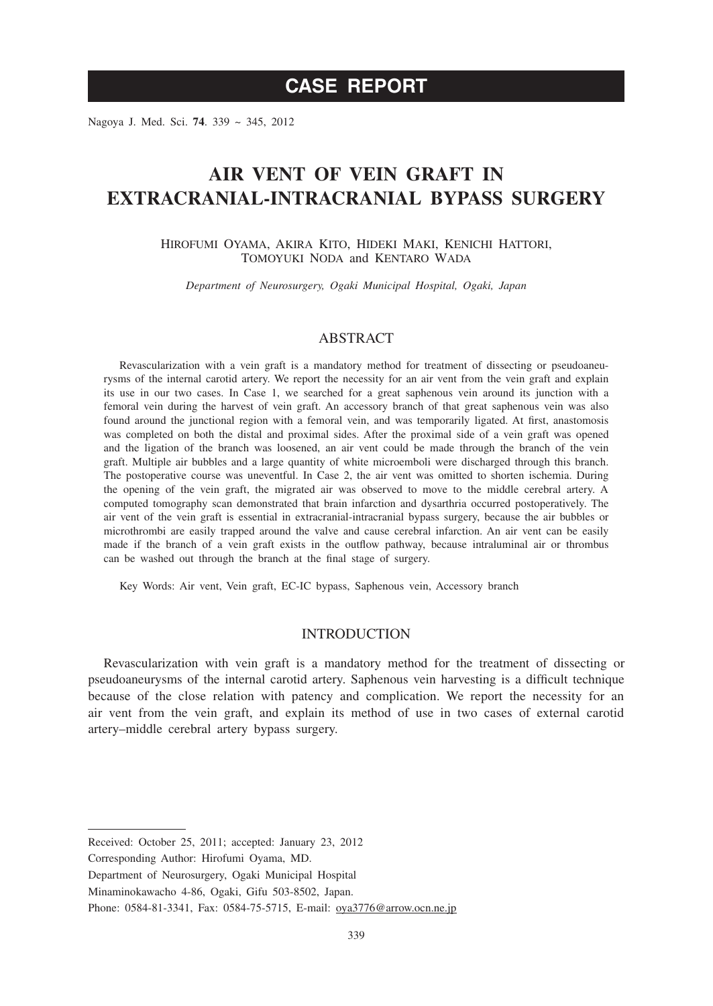# **CASE REPORT**

Nagoya J. Med. Sci. **74**. 339 ~ 345, 2012

# **AIR VENT OF VEIN GRAFT IN EXTRACRANIAL-INTRACRANIAL BYPASS SURGERY**

HIROFUMI OYAMA, AKIRA KITO, HIDEKI MAKI, KENICHI HATTORI, TOMOYUKI NODA and KENTARO WADA

*Department of Neurosurgery, Ogaki Municipal Hospital, Ogaki, Japan*

## ABSTRACT

Revascularization with a vein graft is a mandatory method for treatment of dissecting or pseudoaneurysms of the internal carotid artery. We report the necessity for an air vent from the vein graft and explain its use in our two cases. In Case 1, we searched for a great saphenous vein around its junction with a femoral vein during the harvest of vein graft. An accessory branch of that great saphenous vein was also found around the junctional region with a femoral vein, and was temporarily ligated. At first, anastomosis was completed on both the distal and proximal sides. After the proximal side of a vein graft was opened and the ligation of the branch was loosened, an air vent could be made through the branch of the vein graft. Multiple air bubbles and a large quantity of white microemboli were discharged through this branch. The postoperative course was uneventful. In Case 2, the air vent was omitted to shorten ischemia. During the opening of the vein graft, the migrated air was observed to move to the middle cerebral artery. A computed tomography scan demonstrated that brain infarction and dysarthria occurred postoperatively. The air vent of the vein graft is essential in extracranial-intracranial bypass surgery, because the air bubbles or microthrombi are easily trapped around the valve and cause cerebral infarction. An air vent can be easily made if the branch of a vein graft exists in the outflow pathway, because intraluminal air or thrombus can be washed out through the branch at the final stage of surgery.

Key Words: Air vent, Vein graft, EC-IC bypass, Saphenous vein, Accessory branch

## INTRODUCTION

Revascularization with vein graft is a mandatory method for the treatment of dissecting or pseudoaneurysms of the internal carotid artery. Saphenous vein harvesting is a difficult technique because of the close relation with patency and complication. We report the necessity for an air vent from the vein graft, and explain its method of use in two cases of external carotid artery–middle cerebral artery bypass surgery.

Corresponding Author: Hirofumi Oyama, MD.

Received: October 25, 2011; accepted: January 23, 2012

Department of Neurosurgery, Ogaki Municipal Hospital

Minaminokawacho 4-86, Ogaki, Gifu 503-8502, Japan.

Phone: 0584-81-3341, Fax: 0584-75-5715, E-mail: oya3776@arrow.ocn.ne.jp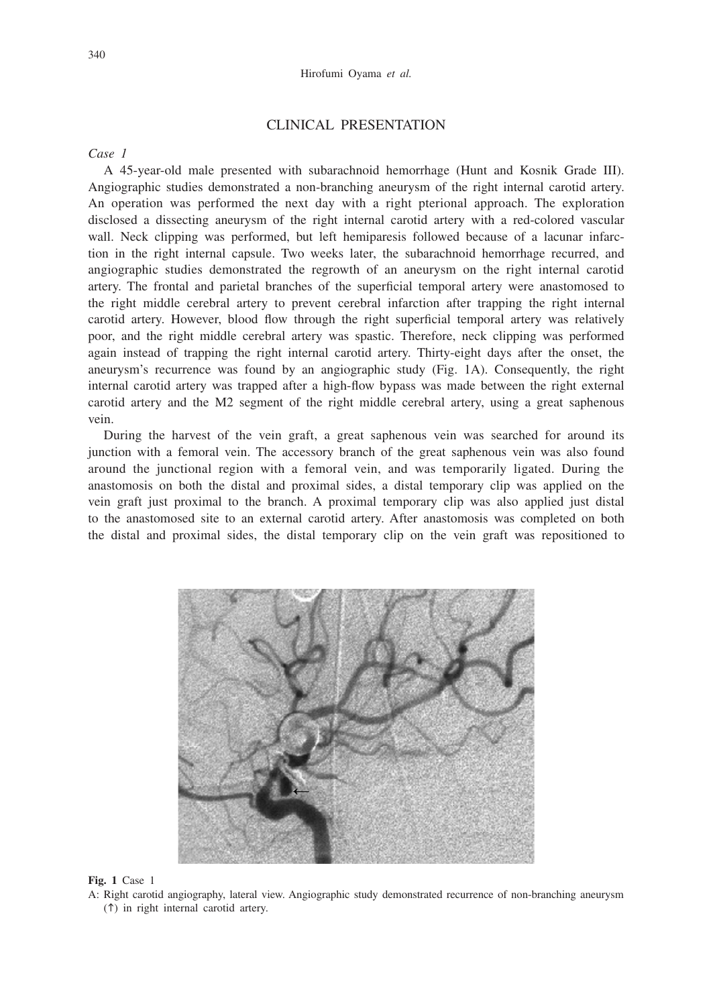### CLINICAL PRESENTATION

*Case 1*

A 45-year-old male presented with subarachnoid hemorrhage (Hunt and Kosnik Grade III). Angiographic studies demonstrated a non-branching aneurysm of the right internal carotid artery. An operation was performed the next day with a right pterional approach. The exploration disclosed a dissecting aneurysm of the right internal carotid artery with a red-colored vascular wall. Neck clipping was performed, but left hemiparesis followed because of a lacunar infarction in the right internal capsule. Two weeks later, the subarachnoid hemorrhage recurred, and angiographic studies demonstrated the regrowth of an aneurysm on the right internal carotid artery. The frontal and parietal branches of the superficial temporal artery were anastomosed to the right middle cerebral artery to prevent cerebral infarction after trapping the right internal carotid artery. However, blood flow through the right superficial temporal artery was relatively poor, and the right middle cerebral artery was spastic. Therefore, neck clipping was performed again instead of trapping the right internal carotid artery. Thirty-eight days after the onset, the aneurysm's recurrence was found by an angiographic study (Fig. 1A). Consequently, the right internal carotid artery was trapped after a high-flow bypass was made between the right external carotid artery and the M2 segment of the right middle cerebral artery, using a great saphenous vein.

During the harvest of the vein graft, a great saphenous vein was searched for around its junction with a femoral vein. The accessory branch of the great saphenous vein was also found around the junctional region with a femoral vein, and was temporarily ligated. During the anastomosis on both the distal and proximal sides, a distal temporary clip was applied on the vein graft just proximal to the branch. A proximal temporary clip was also applied just distal to the anastomosed site to an external carotid artery. After anastomosis was completed on both the distal and proximal sides, the distal temporary clip on the vein graft was repositioned to



**Fig. 1** Case 1

A: Right carotid angiography, lateral view. Angiographic study demonstrated recurrence of non-branching aneurysm  $($  $\uparrow$  $)$  in right internal carotid artery.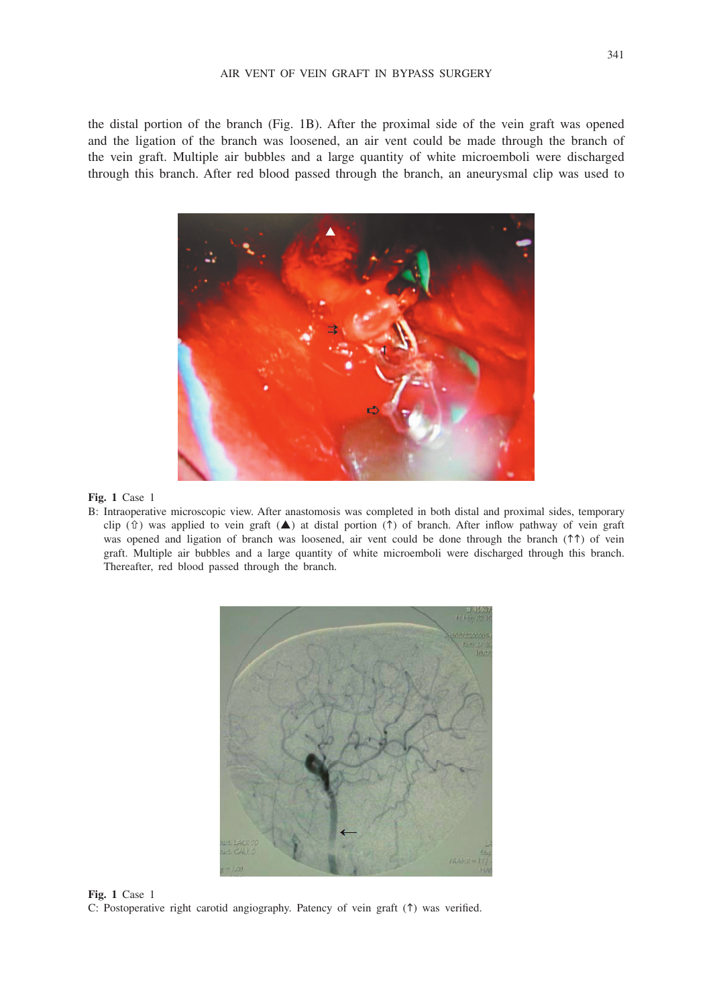the distal portion of the branch (Fig. 1B). After the proximal side of the vein graft was opened and the ligation of the branch was loosened, an air vent could be made through the branch of the vein graft. Multiple air bubbles and a large quantity of white microemboli were discharged through this branch. After red blood passed through the branch, an aneurysmal clip was used to



#### **Fig. 1** Case 1

B: Intraoperative microscopic view. After anastomosis was completed in both distal and proximal sides, temporary clip ( $\hat{v}$ ) was applied to vein graft ( $\triangle$ ) at distal portion ( $\hat{v}$ ) of branch. After inflow pathway of vein graft was opened and ligation of branch was loosened, air vent could be done through the branch ( $\uparrow \uparrow$ ) of vein graft. Multiple air bubbles and a large quantity of white microemboli were discharged through this branch. Thereafter, red blood passed through the branch.



**Fig. 1** Case 1 C: Postoperative right carotid angiography. Patency of vein graft  $(1)$  was verified.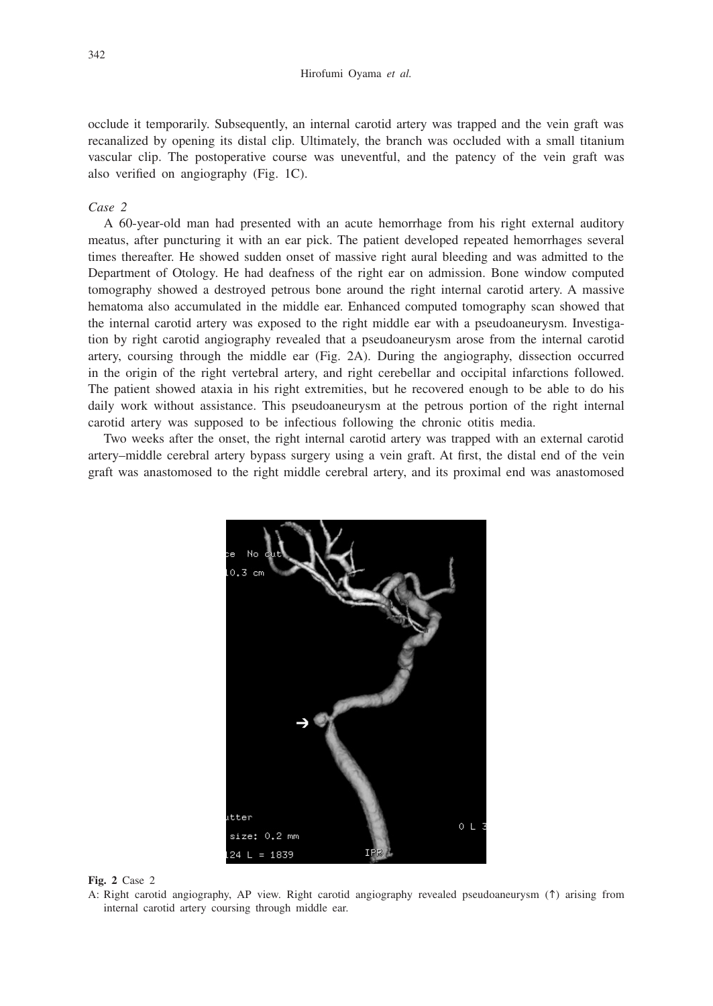occlude it temporarily. Subsequently, an internal carotid artery was trapped and the vein graft was recanalized by opening its distal clip. Ultimately, the branch was occluded with a small titanium vascular clip. The postoperative course was uneventful, and the patency of the vein graft was also verified on angiography (Fig. 1C).

### *Case 2*

A 60-year-old man had presented with an acute hemorrhage from his right external auditory meatus, after puncturing it with an ear pick. The patient developed repeated hemorrhages several times thereafter. He showed sudden onset of massive right aural bleeding and was admitted to the Department of Otology. He had deafness of the right ear on admission. Bone window computed tomography showed a destroyed petrous bone around the right internal carotid artery. A massive hematoma also accumulated in the middle ear. Enhanced computed tomography scan showed that the internal carotid artery was exposed to the right middle ear with a pseudoaneurysm. Investigation by right carotid angiography revealed that a pseudoaneurysm arose from the internal carotid artery, coursing through the middle ear (Fig. 2A). During the angiography, dissection occurred in the origin of the right vertebral artery, and right cerebellar and occipital infarctions followed. The patient showed ataxia in his right extremities, but he recovered enough to be able to do his daily work without assistance. This pseudoaneurysm at the petrous portion of the right internal carotid artery was supposed to be infectious following the chronic otitis media.

Two weeks after the onset, the right internal carotid artery was trapped with an external carotid artery–middle cerebral artery bypass surgery using a vein graft. At first, the distal end of the vein graft was anastomosed to the right middle cerebral artery, and its proximal end was anastomosed



**Fig. 2** Case 2

A: Right carotid angiography, AP view. Right carotid angiography revealed pseudoaneurysm ( $\uparrow$ ) arising from internal carotid artery coursing through middle ear.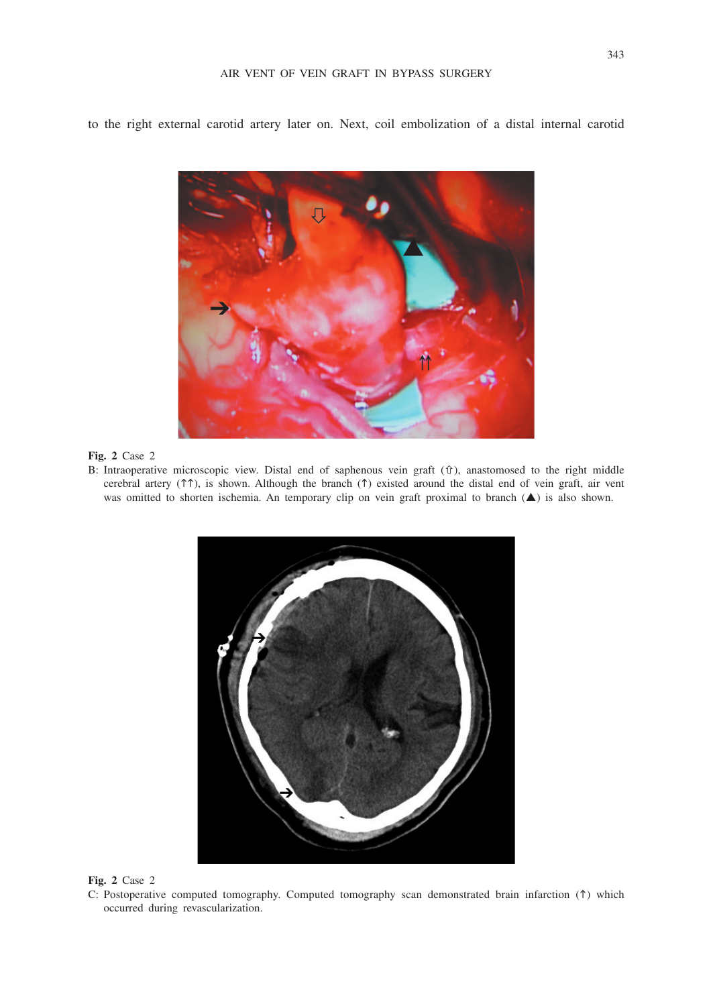to the right external carotid artery later on. Next, coil embolization of a distal internal carotid

**Fig. 2** Case 2

B: Intraoperative microscopic view. Distal end of saphenous vein graft ( $\hat{v}$ ), anastomosed to the right middle cerebral artery ( $\uparrow \uparrow$ ), is shown. Although the branch ( $\uparrow$ ) existed around the distal end of vein graft, air vent was omitted to shorten ischemia. An temporary clip on vein graft proximal to branch  $(\blacktriangle)$  is also shown.



**Fig. 2** Case 2

C: Postoperative computed tomography. Computed tomography scan demonstrated brain infarction  $(1)$  which occurred during revascularization.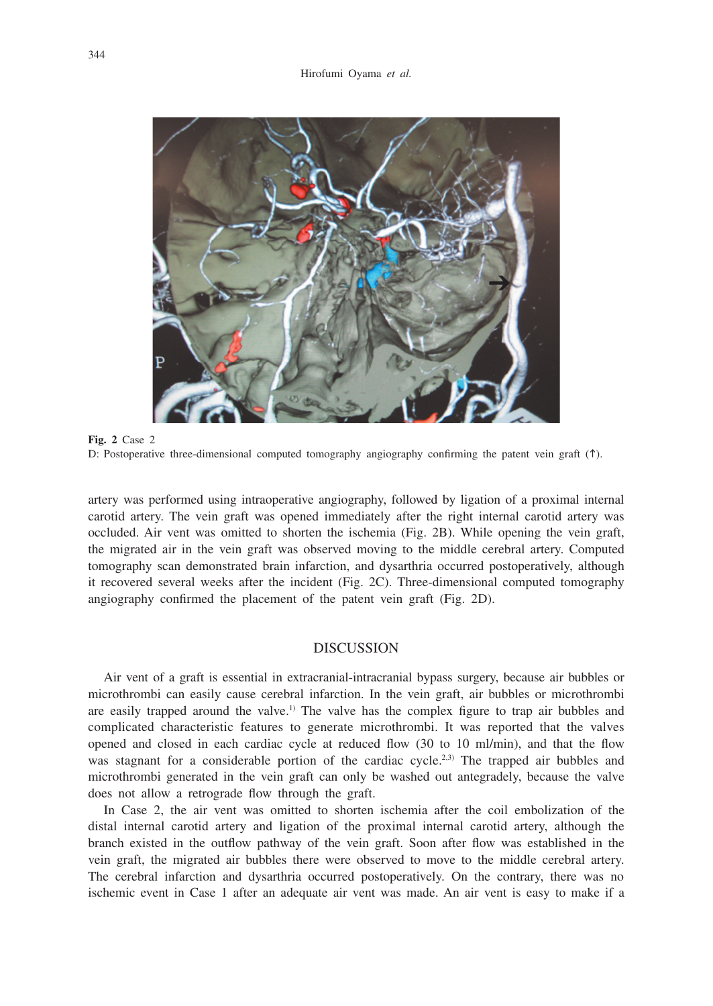

**Fig. 2** Case 2 D: Postoperative three-dimensional computed tomography angiography confirming the patent vein graft ( $\uparrow$ ).

artery was performed using intraoperative angiography, followed by ligation of a proximal internal carotid artery. The vein graft was opened immediately after the right internal carotid artery was occluded. Air vent was omitted to shorten the ischemia (Fig. 2B). While opening the vein graft, the migrated air in the vein graft was observed moving to the middle cerebral artery. Computed tomography scan demonstrated brain infarction, and dysarthria occurred postoperatively, although it recovered several weeks after the incident (Fig. 2C). Three-dimensional computed tomography angiography confirmed the placement of the patent vein graft (Fig. 2D).

## **DISCUSSION**

Air vent of a graft is essential in extracranial-intracranial bypass surgery, because air bubbles or microthrombi can easily cause cerebral infarction. In the vein graft, air bubbles or microthrombi are easily trapped around the valve.<sup>1)</sup> The valve has the complex figure to trap air bubbles and complicated characteristic features to generate microthrombi. It was reported that the valves opened and closed in each cardiac cycle at reduced flow (30 to 10 ml/min), and that the flow was stagnant for a considerable portion of the cardiac cycle.<sup>2,3)</sup> The trapped air bubbles and microthrombi generated in the vein graft can only be washed out antegradely, because the valve does not allow a retrograde flow through the graft.

In Case 2, the air vent was omitted to shorten ischemia after the coil embolization of the distal internal carotid artery and ligation of the proximal internal carotid artery, although the branch existed in the outflow pathway of the vein graft. Soon after flow was established in the vein graft, the migrated air bubbles there were observed to move to the middle cerebral artery. The cerebral infarction and dysarthria occurred postoperatively. On the contrary, there was no ischemic event in Case 1 after an adequate air vent was made. An air vent is easy to make if a